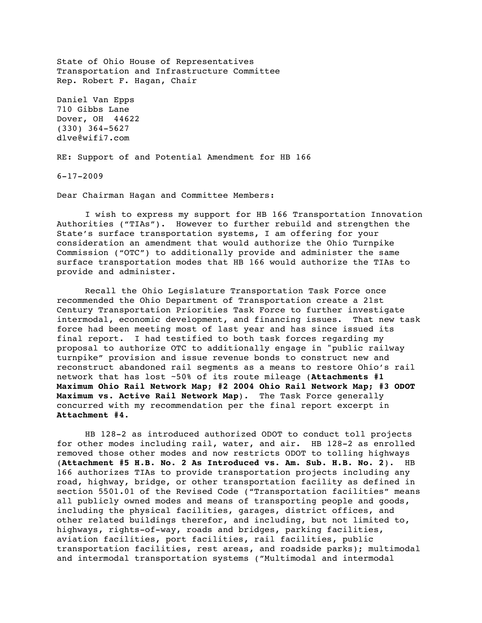State of Ohio House of Representatives Transportation and Infrastructure Committee Rep. Robert F. Hagan, Chair Daniel Van Epps

710 Gibbs Lane Dover, OH 44622 (330) 364-5627 dlve@wifi7.com

RE: Support of and Potential Amendment for HB 166

6-17-2009

Dear Chairman Hagan and Committee Members:

I wish to express my support for HB 166 Transportation Innovation Authorities ("TIAs"). However to further rebuild and strengthen the State's surface transportation systems, I am offering for your consideration an amendment that would authorize the Ohio Turnpike Commission ("OTC") to additionally provide and administer the same surface transportation modes that HB 166 would authorize the TIAs to provide and administer.

Recall the Ohio Legislature Transportation Task Force once recommended the Ohio Department of Transportation create a 21st Century Transportation Priorities Task Force to further investigate intermodal, economic development, and financing issues. That new task force had been meeting most of last year and has since issued its final report. I had testified to both task forces regarding my proposal to authorize OTC to additionally engage in "public railway turnpike" provision and issue revenue bonds to construct new and reconstruct abandoned rail segments as a means to restore Ohio's rail network that has lost ~50% of its route mileage (**Attachments #1 Maximum Ohio Rail Network Map; #2 2004 Ohio Rail Network Map; #3 ODOT Maximum vs. Active Rail Network Map**). The Task Force generally concurred with my recommendation per the final report excerpt in **Attachment #4**.

HB 128-2 as introduced authorized ODOT to conduct toll projects for other modes including rail, water, and air. HB 128-2 as enrolled removed those other modes and now restricts ODOT to tolling highways (**Attachment #5 H.B. No. 2 As Introduced vs. Am. Sub. H.B. No. 2**). HB 166 authorizes TIAs to provide transportation projects including any road, highway, bridge, or other transportation facility as defined in section 5501.01 of the Revised Code ("Transportation facilities" means all publicly owned modes and means of transporting people and goods, including the physical facilities, garages, district offices, and other related buildings therefor, and including, but not limited to, highways, rights-of-way, roads and bridges, parking facilities, aviation facilities, port facilities, rail facilities, public transportation facilities, rest areas, and roadside parks); multimodal and intermodal transportation systems ("Multimodal and intermodal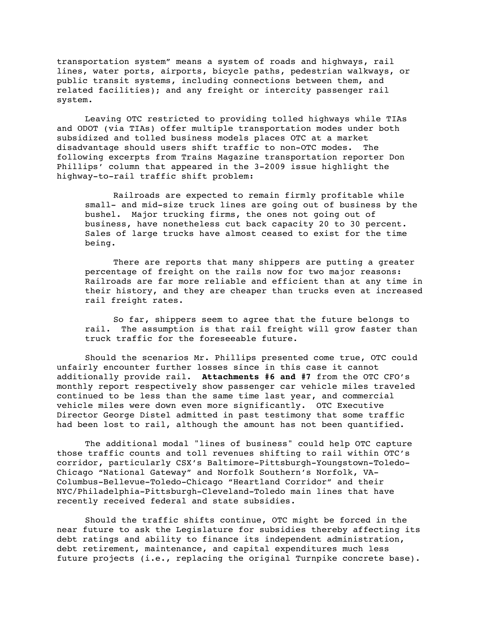transportation system" means a system of roads and highways, rail lines, water ports, airports, bicycle paths, pedestrian walkways, or public transit systems, including connections between them, and related facilities); and any freight or intercity passenger rail system.

Leaving OTC restricted to providing tolled highways while TIAs and ODOT (via TIAs) offer multiple transportation modes under both subsidized and tolled business models places OTC at a market disadvantage should users shift traffic to non-OTC modes. The following excerpts from Trains Magazine transportation reporter Don Phillips' column that appeared in the 3-2009 issue highlight the highway-to-rail traffic shift problem:

Railroads are expected to remain firmly profitable while small- and mid-size truck lines are going out of business by the bushel. Major trucking firms, the ones not going out of business, have nonetheless cut back capacity 20 to 30 percent. Sales of large trucks have almost ceased to exist for the time being.

There are reports that many shippers are putting a greater percentage of freight on the rails now for two major reasons: Railroads are far more reliable and efficient than at any time in their history, and they are cheaper than trucks even at increased rail freight rates.

So far, shippers seem to agree that the future belongs to rail. The assumption is that rail freight will grow faster than truck traffic for the foreseeable future.

Should the scenarios Mr. Phillips presented come true, OTC could unfairly encounter further losses since in this case it cannot additionally provide rail. **Attachments #6 and #7** from the OTC CFO's monthly report respectively show passenger car vehicle miles traveled continued to be less than the same time last year, and commercial vehicle miles were down even more significantly. OTC Executive Director George Distel admitted in past testimony that some traffic had been lost to rail, although the amount has not been quantified.

The additional modal "lines of business" could help OTC capture those traffic counts and toll revenues shifting to rail within OTC's corridor, particularly CSX's Baltimore-Pittsburgh-Youngstown-Toledo-Chicago "National Gateway" and Norfolk Southern's Norfolk, VA-Columbus-Bellevue-Toledo-Chicago "Heartland Corridor" and their NYC/Philadelphia-Pittsburgh-Cleveland-Toledo main lines that have recently received federal and state subsidies.

Should the traffic shifts continue, OTC might be forced in the near future to ask the Legislature for subsidies thereby affecting its debt ratings and ability to finance its independent administration, debt retirement, maintenance, and capital expenditures much less future projects (i.e., replacing the original Turnpike concrete base).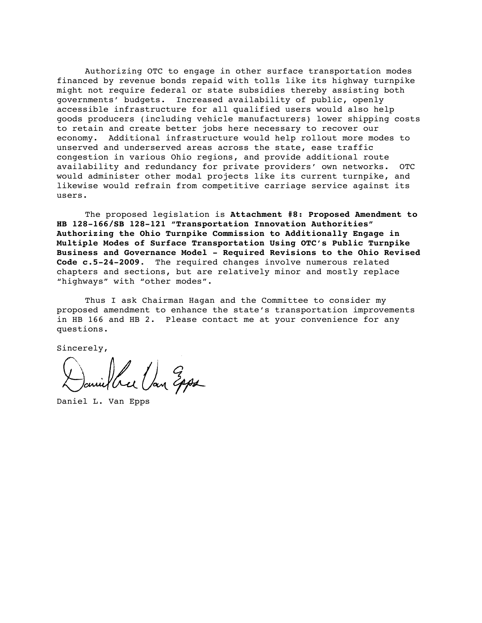Authorizing OTC to engage in other surface transportation modes financed by revenue bonds repaid with tolls like its highway turnpike might not require federal or state subsidies thereby assisting both governments' budgets. Increased availability of public, openly accessible infrastructure for all qualified users would also help goods producers (including vehicle manufacturers) lower shipping costs to retain and create better jobs here necessary to recover our economy. Additional infrastructure would help rollout more modes to unserved and underserved areas across the state, ease traffic congestion in various Ohio regions, and provide additional route availability and redundancy for private providers' own networks. OTC would administer other modal projects like its current turnpike, and likewise would refrain from competitive carriage service against its users.

The proposed legislation is **Attachment #8: Proposed Amendment to HB 128-166/SB 128-121 "Transportation Innovation Authorities" Authorizing the Ohio Turnpike Commission to Additionally Engage in Multiple Modes of Surface Transportation Using OTC's Public Turnpike Business and Governance Model - Required Revisions to the Ohio Revised Code c.5-24-2009**. The required changes involve numerous related chapters and sections, but are relatively minor and mostly replace "highways" with "other modes".

Thus I ask Chairman Hagan and the Committee to consider my proposed amendment to enhance the state's transportation improvements in HB 166 and HB 2. Please contact me at your convenience for any questions.

Sincerely,

bree Van Epps

Daniel L. Van Epps